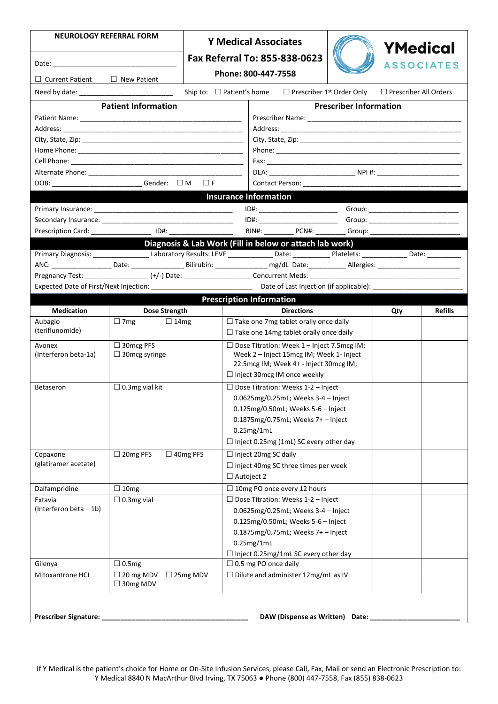| <b>NEUROLOGY REFERRAL FORM</b>                                                                                                             | <b>Y Medical Associates</b>                             |                 |                                                                                               |                                                                                    |                               | YMedical                |                |  |  |
|--------------------------------------------------------------------------------------------------------------------------------------------|---------------------------------------------------------|-----------------|-----------------------------------------------------------------------------------------------|------------------------------------------------------------------------------------|-------------------------------|-------------------------|----------------|--|--|
|                                                                                                                                            |                                                         |                 | Fax Referral To: 855-838-0623                                                                 |                                                                                    |                               | <b>ASSOCIATES</b>       |                |  |  |
| $\Box$ Current Patient<br>$\Box$ New Patient                                                                                               |                                                         |                 | Phone: 800-447-7558                                                                           |                                                                                    |                               |                         |                |  |  |
|                                                                                                                                            |                                                         |                 | Ship to: $\Box$ Patient's home $\Box$ Prescriber 1 <sup>st</sup> Order Only                   |                                                                                    |                               | □ Prescriber All Orders |                |  |  |
|                                                                                                                                            |                                                         |                 |                                                                                               |                                                                                    |                               |                         |                |  |  |
|                                                                                                                                            | <b>Patient Information</b>                              |                 |                                                                                               |                                                                                    | <b>Prescriber Information</b> |                         |                |  |  |
|                                                                                                                                            |                                                         |                 |                                                                                               |                                                                                    |                               |                         |                |  |  |
|                                                                                                                                            |                                                         |                 |                                                                                               |                                                                                    |                               |                         |                |  |  |
|                                                                                                                                            |                                                         |                 |                                                                                               |                                                                                    |                               |                         |                |  |  |
|                                                                                                                                            |                                                         |                 |                                                                                               |                                                                                    |                               |                         |                |  |  |
|                                                                                                                                            |                                                         |                 |                                                                                               |                                                                                    |                               |                         |                |  |  |
|                                                                                                                                            | DOB: __________________________Gender: □M □F            |                 |                                                                                               |                                                                                    |                               |                         |                |  |  |
|                                                                                                                                            |                                                         |                 |                                                                                               |                                                                                    |                               |                         |                |  |  |
|                                                                                                                                            |                                                         |                 | <b>Insurance Information</b>                                                                  |                                                                                    |                               |                         |                |  |  |
|                                                                                                                                            |                                                         |                 |                                                                                               | ID#: ____________________________                                                  |                               |                         |                |  |  |
|                                                                                                                                            |                                                         |                 |                                                                                               | ID#: __________________________                                                    |                               |                         |                |  |  |
| Prescription Card: ____________________ ID#: ___________________________________                                                           |                                                         |                 |                                                                                               |                                                                                    |                               |                         |                |  |  |
|                                                                                                                                            | Diagnosis & Lab Work (Fill in below or attach lab work) |                 |                                                                                               |                                                                                    |                               |                         |                |  |  |
| Primary Diagnosis: __________________Laboratory Results: LEVF ______________Date: ____________Platelets: ______________Date: _____________ |                                                         |                 |                                                                                               |                                                                                    |                               |                         |                |  |  |
|                                                                                                                                            |                                                         |                 |                                                                                               |                                                                                    |                               |                         |                |  |  |
|                                                                                                                                            |                                                         |                 |                                                                                               |                                                                                    |                               |                         |                |  |  |
|                                                                                                                                            |                                                         |                 |                                                                                               |                                                                                    |                               |                         |                |  |  |
|                                                                                                                                            |                                                         |                 | <b>Prescription Information</b>                                                               |                                                                                    |                               |                         |                |  |  |
| <b>Medication</b>                                                                                                                          | Dose Strength                                           |                 |                                                                                               | <b>Directions</b>                                                                  |                               | Qty                     | <b>Refills</b> |  |  |
| Aubagio                                                                                                                                    | $\Box$ 7mg<br>$\Box$ 14mg                               |                 | $\Box$ Take one 7mg tablet orally once daily<br>$\Box$ Take one 14mg tablet orally once daily |                                                                                    |                               |                         |                |  |  |
| (teriflunomide)                                                                                                                            |                                                         |                 |                                                                                               |                                                                                    |                               |                         |                |  |  |
| Avonex                                                                                                                                     | □ 30mcg PFS                                             |                 | $\Box$ Dose Titration: Week 1 - Inject 7.5mcg IM;                                             |                                                                                    |                               |                         |                |  |  |
| (Interferon beta-1a)                                                                                                                       | $\Box$ 30mcg syringe                                    |                 |                                                                                               | Week 2 - Inject 15mcg IM; Week 1- Inject<br>22.5mcg IM; Week 4+ - Inject 30mcg IM; |                               |                         |                |  |  |
|                                                                                                                                            |                                                         |                 | $\Box$ Inject 30mcg IM once weekly                                                            |                                                                                    |                               |                         |                |  |  |
|                                                                                                                                            |                                                         |                 |                                                                                               |                                                                                    |                               |                         |                |  |  |
|                                                                                                                                            | $\square$ 0.3mg vial kit<br>Betaseron                   |                 |                                                                                               | $\Box$ Dose Titration: Weeks 1-2 - Inject                                          |                               |                         |                |  |  |
|                                                                                                                                            |                                                         |                 |                                                                                               | 0.0625 $mg/0.25mL$ ; Weeks 3-4 - Inject<br>0.125mg/0.50mL; Weeks 5-6 - Inject      |                               |                         |                |  |  |
|                                                                                                                                            |                                                         |                 | 0.1875mg/0.75mL; Weeks 7+ - Inject                                                            |                                                                                    |                               |                         |                |  |  |
|                                                                                                                                            |                                                         |                 | $0.25$ mg/1mL                                                                                 |                                                                                    |                               |                         |                |  |  |
|                                                                                                                                            |                                                         |                 | $\Box$ Inject 0.25mg (1mL) SC every other day                                                 |                                                                                    |                               |                         |                |  |  |
|                                                                                                                                            |                                                         |                 |                                                                                               |                                                                                    |                               |                         |                |  |  |
| Copaxone<br>(glatiramer acetate)                                                                                                           | $\Box$ 20mg PFS                                         | $\Box$ 40mg PFS | $\Box$ Inject 20mg SC daily                                                                   |                                                                                    |                               |                         |                |  |  |
|                                                                                                                                            |                                                         |                 | $\Box$ Inject 40mg SC three times per week                                                    |                                                                                    |                               |                         |                |  |  |
|                                                                                                                                            |                                                         |                 | $\Box$ Autoject 2                                                                             |                                                                                    |                               |                         |                |  |  |
| Dalfampridine                                                                                                                              | $\Box$ 10mg                                             |                 | □ 10mg PO once every 12 hours                                                                 |                                                                                    |                               |                         |                |  |  |
| Extavia                                                                                                                                    | $\Box$ 0.3mg vial                                       |                 |                                                                                               | $\Box$ Dose Titration: Weeks 1-2 - Inject                                          |                               |                         |                |  |  |
|                                                                                                                                            |                                                         |                 |                                                                                               |                                                                                    |                               |                         |                |  |  |
| (Interferon beta - 1b)                                                                                                                     |                                                         |                 | 0.0625mg/0.25mL; Weeks 3-4 - Inject                                                           |                                                                                    |                               |                         |                |  |  |
|                                                                                                                                            |                                                         |                 |                                                                                               | 0.125mg/0.50mL; Weeks 5-6 - Inject                                                 |                               |                         |                |  |  |
|                                                                                                                                            |                                                         |                 |                                                                                               | 0.1875mg/0.75mL; Weeks 7+ - Inject                                                 |                               |                         |                |  |  |
|                                                                                                                                            |                                                         |                 | 0.25mg/1mL                                                                                    |                                                                                    |                               |                         |                |  |  |
|                                                                                                                                            |                                                         |                 | $\Box$ Inject 0.25mg/1mL SC every other day                                                   |                                                                                    |                               |                         |                |  |  |
| Gilenya<br>Mitoxantrone HCL                                                                                                                | $\Box$ 0.5mg                                            |                 | $\Box$ 0.5 mg PO once daily                                                                   |                                                                                    |                               |                         |                |  |  |
|                                                                                                                                            | $\Box$ 20 mg MDV<br>$\Box$ 30mg MDV                     | $\Box$ 25mg MDV | $\Box$ Dilute and administer 12mg/mL as IV                                                    |                                                                                    |                               |                         |                |  |  |